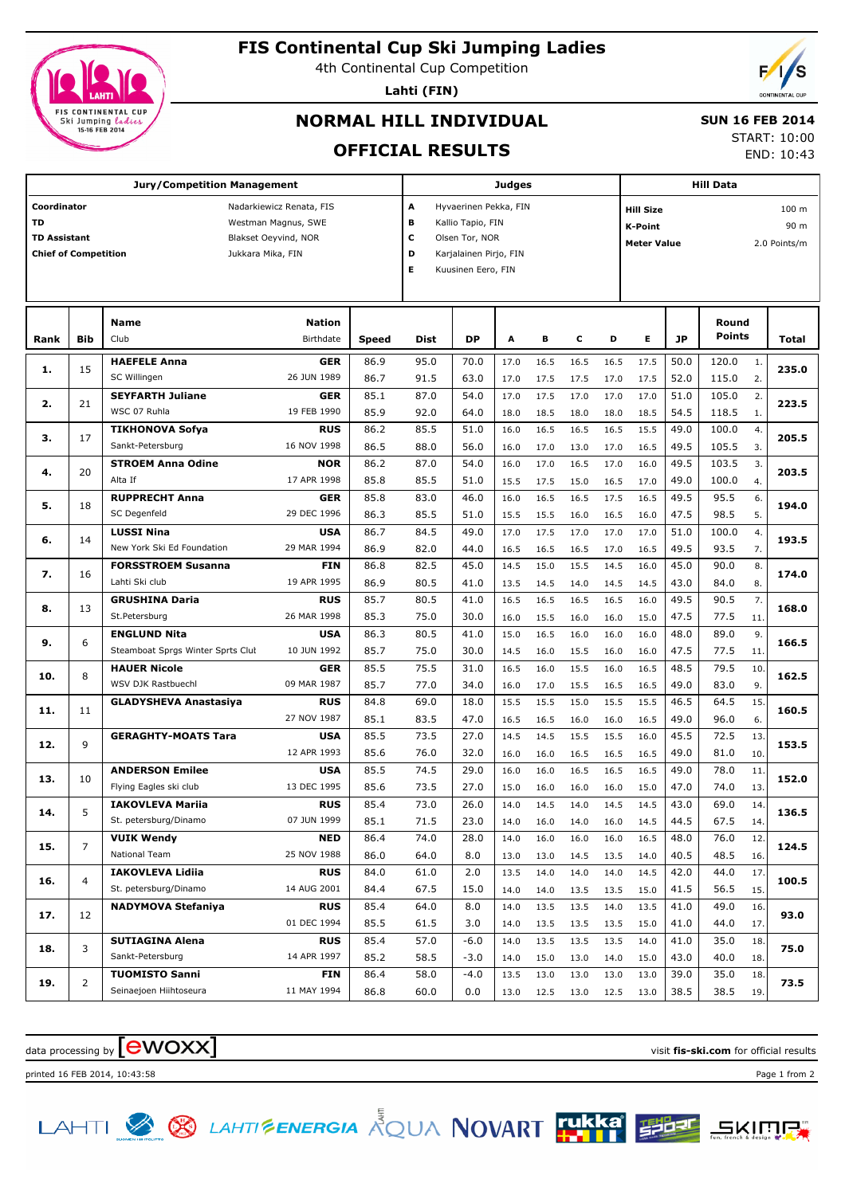

# **FIS Continental Cup Ski Jumping Ladies**

4th Continental Cup Competition

**Lahti (FIN)**



# **NORMAL HILL INDIVIDUAL**

#### **SUN 16 FEB 2014**

START: 10:00 END: 10:43

## **OFFICIAL RESULTS**

|                             |                | <b>Jury/Competition Management</b>               | Judges        |                                                                          |                                 |        |      |      | <b>Hill Data</b> |      |                                      |      |               |                |       |  |
|-----------------------------|----------------|--------------------------------------------------|---------------|--------------------------------------------------------------------------|---------------------------------|--------|------|------|------------------|------|--------------------------------------|------|---------------|----------------|-------|--|
| Coordinator<br><b>TD</b>    |                | Nadarkiewicz Renata, FIS                         |               |                                                                          | A<br>Hyvaerinen Pekka, FIN<br>В |        |      |      |                  |      | 100 <sub>m</sub><br><b>Hill Size</b> |      |               |                |       |  |
| <b>TD Assistant</b>         |                | Westman Magnus, SWE<br>Blakset Oeyvind, NOR      |               |                                                                          | Kallio Tapio, FIN               |        |      |      |                  |      | K-Point                              |      |               |                | 90 m  |  |
| <b>Chief of Competition</b> |                | Jukkara Mika, FIN                                |               | с<br>Olsen Tor, NOR<br><b>Meter Value</b><br>D<br>Karjalainen Pirjo, FIN |                                 |        |      |      |                  |      | 2.0 Points/m                         |      |               |                |       |  |
|                             |                |                                                  |               | Е                                                                        | Kuusinen Eero, FIN              |        |      |      |                  |      |                                      |      |               |                |       |  |
|                             |                |                                                  |               |                                                                          |                                 |        |      |      |                  |      |                                      |      |               |                |       |  |
|                             |                |                                                  |               |                                                                          |                                 |        |      |      |                  |      |                                      |      |               |                |       |  |
|                             |                | <b>Name</b>                                      | <b>Nation</b> |                                                                          |                                 |        |      |      |                  |      |                                      |      | Round         |                |       |  |
| Rank                        | <b>Bib</b>     | Club                                             | Birthdate     | Speed                                                                    | Dist                            | DP     | Α    | В    | c                | D    | Е                                    | JP   | <b>Points</b> |                | Total |  |
| 1.                          | 15             | <b>HAEFELE Anna</b>                              | <b>GER</b>    | 86.9                                                                     | 95.0                            | 70.0   | 17.0 | 16.5 | 16.5             | 16.5 | 17.5                                 | 50.0 | 120.0         | $\mathbf{1}$ . | 235.0 |  |
|                             |                | SC Willingen<br>26 JUN 1989                      |               | 86.7                                                                     | 91.5                            | 63.0   | 17.0 | 17.5 | 17.5             | 17.0 | 17.5                                 | 52.0 | 115.0         | 2.             |       |  |
| 2.                          | 21             | <b>SEYFARTH Juliane</b>                          | <b>GER</b>    | 85.1                                                                     | 87.0                            | 54.0   | 17.0 | 17.5 | 17.0             | 17.0 | 17.0                                 | 51.0 | 105.0         | 2.             | 223.5 |  |
|                             |                | WSC 07 Ruhla<br>19 FEB 1990                      |               | 85.9                                                                     | 92.0                            | 64.0   | 18.0 | 18.5 | 18.0             | 18.0 | 18.5                                 | 54.5 | 118.5         | 1.             |       |  |
| з.                          | 17             | <b>TIKHONOVA Sofya</b>                           | <b>RUS</b>    | 86.2                                                                     | 85.5                            | 51.0   | 16.0 | 16.5 | 16.5             | 16.5 | 15.5                                 | 49.0 | 100.0         | 4.             | 205.5 |  |
|                             |                | Sankt-Petersburg<br>16 NOV 1998                  |               | 86.5                                                                     | 88.0                            | 56.0   | 16.0 | 17.0 | 13.0             | 17.0 | 16.5                                 | 49.5 | 105.5         | 3.             |       |  |
| 4.                          | 20             | <b>STROEM Anna Odine</b>                         | <b>NOR</b>    | 86.2                                                                     | 87.0                            | 54.0   | 16.0 | 17.0 | 16.5             | 17.0 | 16.0                                 | 49.5 | 103.5         | 3.             | 203.5 |  |
|                             |                | Alta If<br>17 APR 1998                           |               | 85.8                                                                     | 85.5                            | 51.0   | 15.5 | 17.5 | 15.0             | 16.5 | 17.0                                 | 49.0 | 100.0         | 4.             |       |  |
| 5.                          | 18             | <b>RUPPRECHT Anna</b>                            | <b>GER</b>    | 85.8                                                                     | 83.0                            | 46.0   | 16.0 | 16.5 | 16.5             | 17.5 | 16.5                                 | 49.5 | 95.5          | 6.             | 194.0 |  |
|                             |                | 29 DEC 1996<br>SC Degenfeld                      |               | 86.3                                                                     | 85.5                            | 51.0   | 15.5 | 15.5 | 16.0             | 16.5 | 16.0                                 | 47.5 | 98.5          | 5.             |       |  |
| 6.                          | 14             | <b>LUSSI Nina</b>                                | <b>USA</b>    | 86.7                                                                     | 84.5                            | 49.0   | 17.0 | 17.5 | 17.0             | 17.0 | 17.0                                 | 51.0 | 100.0         | 4.             | 193.5 |  |
|                             |                | New York Ski Ed Foundation<br>29 MAR 1994        |               | 86.9                                                                     | 82.0                            | 44.0   | 16.5 | 16.5 | 16.5             | 17.0 | 16.5                                 | 49.5 | 93.5          | 7.             |       |  |
| 7.                          | 16<br>13       | <b>FORSSTROEM Susanna</b>                        | <b>FIN</b>    | 86.8                                                                     | 82.5                            | 45.0   | 14.5 | 15.0 | 15.5             | 14.5 | 16.0                                 | 45.0 | 90.0          | 8.             | 174.0 |  |
|                             |                | Lahti Ski club<br>19 APR 1995                    |               | 86.9                                                                     | 80.5                            | 41.0   | 13.5 | 14.5 | 14.0             | 14.5 | 14.5                                 | 43.0 | 84.0          | 8.             |       |  |
| 8.                          |                | <b>GRUSHINA Daria</b>                            | <b>RUS</b>    | 85.7                                                                     | 80.5                            | 41.0   | 16.5 | 16.5 | 16.5             | 16.5 | 16.0                                 | 49.5 | 90.5          | 7.             | 168.0 |  |
|                             |                | St.Petersburg<br>26 MAR 1998                     |               | 85.3                                                                     | 75.0                            | 30.0   | 16.0 | 15.5 | 16.0             | 16.0 | 15.0                                 | 47.5 | 77.5          | 11.            |       |  |
| 9.                          | 6              | <b>ENGLUND Nita</b>                              | <b>USA</b>    | 86.3                                                                     | 80.5                            | 41.0   | 15.0 | 16.5 | 16.0             | 16.0 | 16.0                                 | 48.0 | 89.0          | 9.             | 166.5 |  |
|                             |                | 10 JUN 1992<br>Steamboat Sprgs Winter Sprts Clut |               | 85.7                                                                     | 75.0                            | 30.0   | 14.5 | 16.0 | 15.5             | 16.0 | 16.0                                 | 47.5 | 77.5          | 11.            |       |  |
| 10.                         | 8              | <b>HAUER Nicole</b>                              | <b>GER</b>    | 85.5                                                                     | 75.5                            | 31.0   | 16.5 | 16.0 | 15.5             | 16.0 | 16.5                                 | 48.5 | 79.5          | 10             | 162.5 |  |
|                             |                | WSV DJK Rastbuechl<br>09 MAR 1987                |               | 85.7                                                                     | 77.0                            | 34.0   | 16.0 | 17.0 | 15.5             | 16.5 | 16.5                                 | 49.0 | 83.0          | 9.             |       |  |
| 11.                         | 11             | <b>GLADYSHEVA Anastasiya</b>                     | <b>RUS</b>    | 84.8                                                                     | 69.0                            | 18.0   | 15.5 | 15.5 | 15.0             | 15.5 | 15.5                                 | 46.5 | 64.5          | 15             | 160.5 |  |
|                             |                | 27 NOV 1987                                      |               | 85.1                                                                     | 83.5                            | 47.0   | 16.5 | 16.5 | 16.0             | 16.0 | 16.5                                 | 49.0 | 96.0          | 6.             |       |  |
| 12.                         | 9              | <b>GERAGHTY-MOATS Tara</b>                       | <b>USA</b>    | 85.5                                                                     | 73.5                            | 27.0   | 14.5 | 14.5 | 15.5             | 15.5 | 16.0                                 | 45.5 | 72.5          | 13             | 153.5 |  |
|                             |                | 12 APR 1993                                      |               | 85.6                                                                     | 76.0                            | 32.0   | 16.0 | 16.0 | 16.5             | 16.5 | 16.5                                 | 49.0 | 81.0          | 10.            |       |  |
| 13.                         | 10             | <b>ANDERSON Emilee</b>                           | <b>USA</b>    | 85.5                                                                     | 74.5                            | 29.0   | 16.0 | 16.0 | 16.5             | 16.5 | 16.5                                 | 49.0 | 78.0          | 11             | 152.0 |  |
|                             |                | Flying Eagles ski club<br>13 DEC 1995            |               | 85.6                                                                     | 73.5                            | 27.0   | 15.0 | 16.0 | 16.0             | 16.0 | 15.0                                 | 47.0 | 74.0          | 13.            |       |  |
| 14.                         | 5              | <b>IAKOVLEVA Marija</b>                          | <b>RUS</b>    | 85.4                                                                     | 73.0                            | 26.0   | 14.0 | 14.5 | 14.0             | 14.5 | 14.5                                 | 43.0 | 69.0          | 14.            | 136.5 |  |
|                             |                | St. petersburg/Dinamo<br>07 JUN 1999             |               | 85.1                                                                     | 71.5                            | 23.0   | 14.0 | 16.0 | 14.0             | 16.0 | 14.5                                 | 44.5 | 67.5          | 14.            |       |  |
| 15.                         | 7              | <b>VUIK Wendy</b>                                | <b>NED</b>    | 86.4                                                                     | 74.0                            | 28.0   | 14.0 | 16.0 | 16.0             | 16.0 | 16.5                                 | 48.0 | 76.0          | 12.            | 124.5 |  |
|                             |                | 25 NOV 1988<br>National Team                     |               | 86.0                                                                     | 64.0                            | 8.0    | 13.0 | 13.0 | 14.5             | 13.5 | 14.0                                 | 40.5 | 48.5          | 16.            |       |  |
| 16.                         | $\overline{4}$ | <b>IAKOVLEVA Lidiia</b>                          | <b>RUS</b>    | 84.0                                                                     | 61.0                            | 2.0    | 13.5 | 14.0 | 14.0             | 14.0 | 14.5                                 | 42.0 | 44.0          | 17.            | 100.5 |  |
|                             |                | St. petersburg/Dinamo<br>14 AUG 2001             |               | 84.4                                                                     | 67.5                            | 15.0   | 14.0 | 14.0 | 13.5             | 13.5 | 15.0                                 | 41.5 | 56.5          | 15.            |       |  |
| 17.                         | 12             | <b>NADYMOVA Stefaniya</b>                        | <b>RUS</b>    | 85.4                                                                     | 64.0                            | 8.0    | 14.0 | 13.5 | 13.5             | 14.0 | 13.5                                 | 41.0 | 49.0          | 16.            | 93.0  |  |
|                             |                | 01 DEC 1994                                      |               | 85.5                                                                     | 61.5                            | 3.0    | 14.0 | 13.5 | 13.5             | 13.5 | 15.0                                 | 41.0 | 44.0          | 17.            |       |  |
| 18.                         | 3              | <b>SUTIAGINA Alena</b>                           | <b>RUS</b>    | 85.4                                                                     | 57.0                            | $-6.0$ | 14.0 | 13.5 | 13.5             | 13.5 | 14.0                                 | 41.0 | 35.0          | 18.            | 75.0  |  |
|                             |                | Sankt-Petersburg<br>14 APR 1997                  |               | 85.2                                                                     | 58.5                            | $-3.0$ | 14.0 | 15.0 | 13.0             | 14.0 | 15.0                                 | 43.0 | 40.0          | 18.            |       |  |
| 19.                         | $\overline{2}$ | <b>TUOMISTO Sanni</b>                            | FIN           | 86.4                                                                     | 58.0                            | $-4.0$ | 13.5 | 13.0 | 13.0             | 13.0 | 13.0                                 | 39.0 | 35.0          | 18.            | 73.5  |  |
|                             |                | Seinaejoen Hiihtoseura<br>11 MAY 1994            |               | 86.8                                                                     | 60.0                            | 0.0    | 13.0 | 12.5 | 13.0             | 12.5 | 13.0                                 | 38.5 | 38.5          | 19.            |       |  |

data processing by **CWOXX** and  $\overline{C}$  and  $\overline{C}$  and  $\overline{C}$  and  $\overline{C}$  and  $\overline{C}$  and  $\overline{C}$  and  $\overline{C}$  and  $\overline{C}$  and  $\overline{C}$  and  $\overline{C}$  and  $\overline{C}$  and  $\overline{C}$  and  $\overline{C}$  and  $\overline{C}$  and  $\overline{C}$ 

printed 16 FEB 2014, 10:43:58 Page 1 from 2

LAHTI & S LAHTI ENERGIA AQUA NOVART TURKE ELET

**SKIMP.**